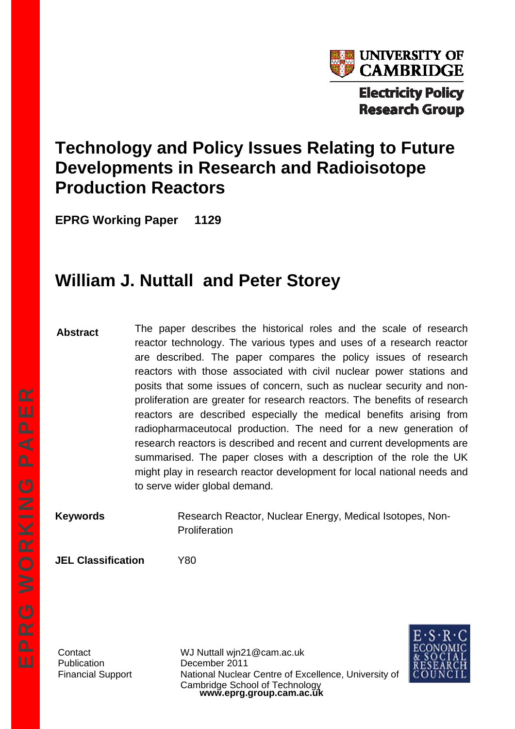

# **Technology and Policy Issues Relating to Future Developments in Research and Radioisotope Production Reactors**

**EPRG Working Paper 1129** 

# **William J. Nuttall and Peter Storey**

**Abstract** 

The paper describes the historical roles and the scale of research reactor technology. The various types and uses of a research reactor are described. The paper compares the policy issues of research reactors with those associated with civil nuclear power stations and posits that some issues of concern, such as nuclear security and nonproliferation are greater for research reactors. The benefits of research reactors are described especially the medical benefits arising from radiopharmaceutocal production. The need for a new generation of research reactors is described and recent and current developments are summarised. The paper closes with a description of the role the UK might play in research reactor development for local national needs and to serve wider global demand.

**Keywords Research Reactor, Nuclear Energy, Medical Isotopes, Non-Proliferation** 

**JEL Classification** Y80

Publication December 2011

**www.eprg.group.cam.ac.uk**  Contact WJ Nuttall wjn21@cam.ac.uk Financial Support National Nuclear Centre of Excellence, University of Cambridge School of Technology

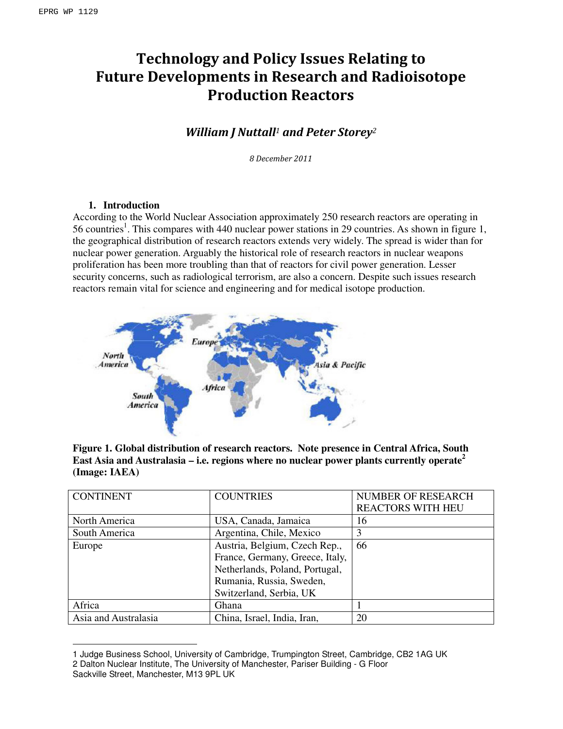# Technology and Policy Issues Relating to Future Developments in Research and Radioisotope Production Reactors

# William J Nuttall<sup>1</sup> and Peter Storey<sup>2</sup>

8 December 2011

# **1. Introduction**

According to the World Nuclear Association approximately 250 research reactors are operating in 56 countries<sup>1</sup>. This compares with 440 nuclear power stations in 29 countries. As shown in figure 1, the geographical distribution of research reactors extends very widely. The spread is wider than for nuclear power generation. Arguably the historical role of research reactors in nuclear weapons proliferation has been more troubling than that of reactors for civil power generation. Lesser security concerns, such as radiological terrorism, are also a concern. Despite such issues research reactors remain vital for science and engineering and for medical isotope production.



**Figure 1. Global distribution of research reactors. Note presence in Central Africa, South East Asia and Australasia – i.e. regions where no nuclear power plants currently operate<sup>2</sup> (Image: IAEA)** 

| <b>CONTINENT</b>     | <b>COUNTRIES</b>                | <b>NUMBER OF RESEARCH</b> |
|----------------------|---------------------------------|---------------------------|
|                      |                                 | <b>REACTORS WITH HEU</b>  |
| North America        | USA, Canada, Jamaica            | 16                        |
| South America        | Argentina, Chile, Mexico        |                           |
| Europe               | Austria, Belgium, Czech Rep.,   | 66                        |
|                      | France, Germany, Greece, Italy, |                           |
|                      | Netherlands, Poland, Portugal,  |                           |
|                      | Rumania, Russia, Sweden,        |                           |
|                      | Switzerland, Serbia, UK         |                           |
| Africa               | <b>Ghana</b>                    |                           |
| Asia and Australasia | China, Israel, India, Iran,     | 20                        |

<sup>1</sup> Judge Business School, University of Cambridge, Trumpington Street, Cambridge, CB2 1AG UK 2 Dalton Nuclear Institute, The University of Manchester, Pariser Building - G Floor

l

Sackville Street, Manchester, M13 9PL UK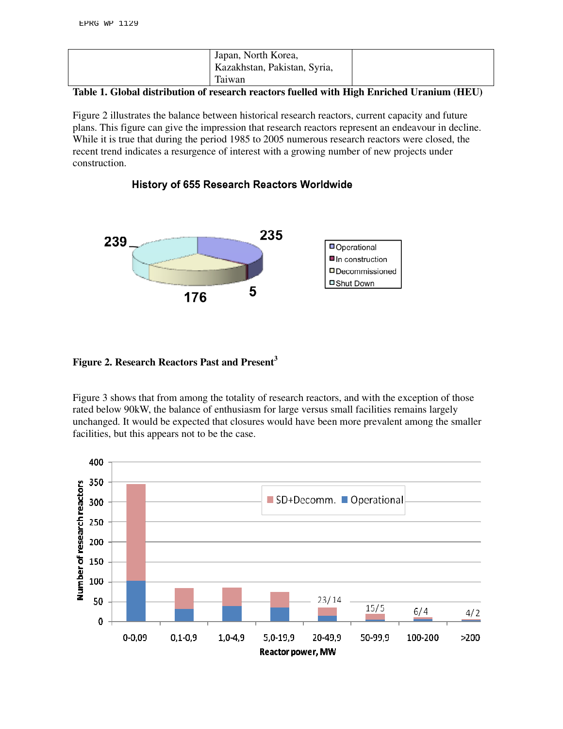| Japan, North Korea,<br>Kazakhstan, Pakistan, Syria, |  |
|-----------------------------------------------------|--|
| Taiwan                                              |  |

#### **Table 1. Global distribution of research reactors fuelled with High Enriched Uranium (HEU)**

Figure 2 illustrates the balance between historical research reactors, current capacity and future plans. This figure can give the impression that research reactors represent an endeavour in decline. While it is true that during the period 1985 to 2005 numerous research reactors were closed, the recent trend indicates a resurgence of interest with a growing number of new projects under construction.



# History of 655 Research Reactors Worldwide

# **Figure 2. Research Reactors Past and Present<sup>3</sup>**

Figure 3 shows that from among the totality of research reactors, and with the exception of those rated below 90kW, the balance of enthusiasm for large versus small facilities remains largely unchanged. It would be expected that closures would have been more prevalent among the smaller facilities, but this appears not to be the case.

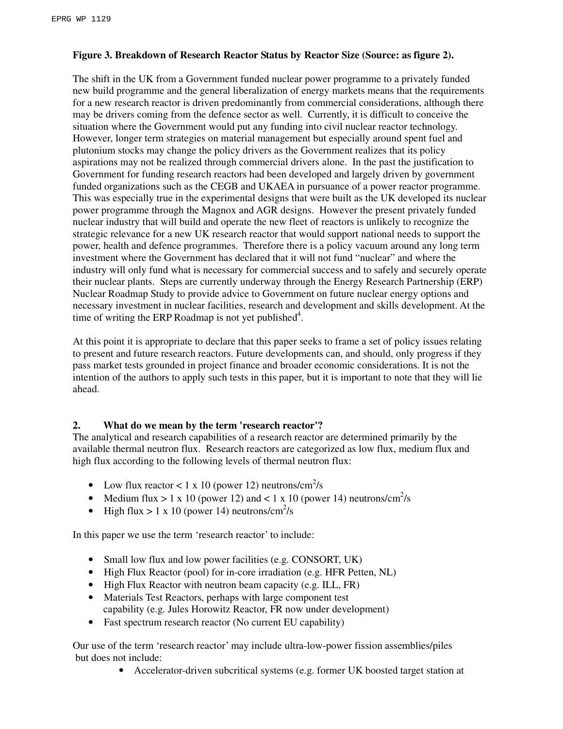# **Figure 3. Breakdown of Research Reactor Status by Reactor Size (Source: as figure 2).**

The shift in the UK from a Government funded nuclear power programme to a privately funded new build programme and the general liberalization of energy markets means that the requirements for a new research reactor is driven predominantly from commercial considerations, although there may be drivers coming from the defence sector as well. Currently, it is difficult to conceive the situation where the Government would put any funding into civil nuclear reactor technology. However, longer term strategies on material management but especially around spent fuel and plutonium stocks may change the policy drivers as the Government realizes that its policy aspirations may not be realized through commercial drivers alone. In the past the justification to Government for funding research reactors had been developed and largely driven by government funded organizations such as the CEGB and UKAEA in pursuance of a power reactor programme. This was especially true in the experimental designs that were built as the UK developed its nuclear power programme through the Magnox and AGR designs. However the present privately funded nuclear industry that will build and operate the new fleet of reactors is unlikely to recognize the strategic relevance for a new UK research reactor that would support national needs to support the power, health and defence programmes. Therefore there is a policy vacuum around any long term investment where the Government has declared that it will not fund "nuclear" and where the industry will only fund what is necessary for commercial success and to safely and securely operate their nuclear plants. Steps are currently underway through the Energy Research Partnership (ERP) Nuclear Roadmap Study to provide advice to Government on future nuclear energy options and necessary investment in nuclear facilities, research and development and skills development. At the time of writing the ERP Roadmap is not yet published<sup>4</sup>.

At this point it is appropriate to declare that this paper seeks to frame a set of policy issues relating to present and future research reactors. Future developments can, and should, only progress if they pass market tests grounded in project finance and broader economic considerations. It is not the intention of the authors to apply such tests in this paper, but it is important to note that they will lie ahead.

# **2. What do we mean by the term 'research reactor'?**

The analytical and research capabilities of a research reactor are determined primarily by the available thermal neutron flux. Research reactors are categorized as low flux, medium flux and high flux according to the following levels of thermal neutron flux:

- Low flux reactor < 1 x 10 (power 12) neutrons/cm<sup>2</sup>/s
- Medium flux  $> 1 \times 10$  (power 12) and  $< 1 \times 10$  (power 14) neutrons/cm<sup>2</sup>/s
- High flux > 1 x 10 (power 14) neutrons/cm<sup>2</sup>/s

In this paper we use the term 'research reactor' to include:

- Small low flux and low power facilities (e.g. CONSORT, UK)
- High Flux Reactor (pool) for in-core irradiation (e.g. HFR Petten, NL)
- High Flux Reactor with neutron beam capacity (e.g. ILL, FR)
- Materials Test Reactors, perhaps with large component test capability (e.g. Jules Horowitz Reactor, FR now under development)
- Fast spectrum research reactor (No current EU capability)

Our use of the term 'research reactor' may include ultra-low-power fission assemblies/piles but does not include:

• Accelerator-driven subcritical systems (e.g. former UK boosted target station at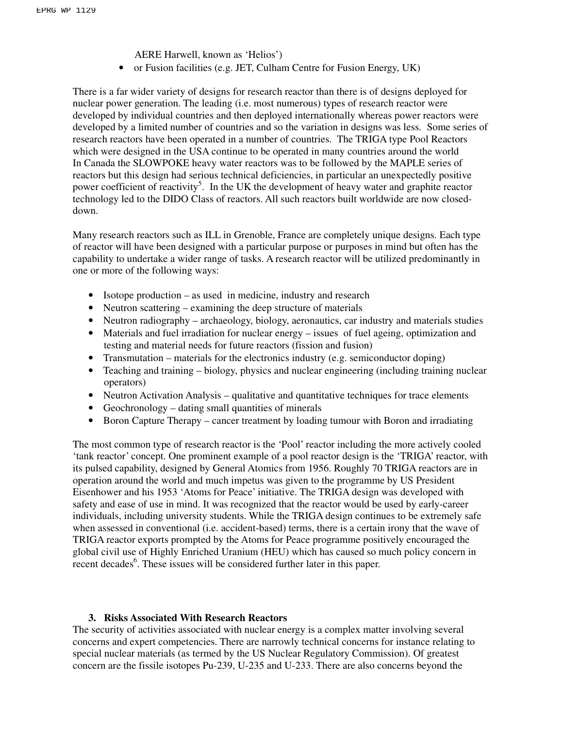AERE Harwell, known as 'Helios')

• or Fusion facilities (e.g. JET, Culham Centre for Fusion Energy, UK)

There is a far wider variety of designs for research reactor than there is of designs deployed for nuclear power generation. The leading (i.e. most numerous) types of research reactor were developed by individual countries and then deployed internationally whereas power reactors were developed by a limited number of countries and so the variation in designs was less. Some series of research reactors have been operated in a number of countries. The TRIGA type Pool Reactors which were designed in the USA continue to be operated in many countries around the world In Canada the SLOWPOKE heavy water reactors was to be followed by the MAPLE series of reactors but this design had serious technical deficiencies, in particular an unexpectedly positive power coefficient of reactivity<sup>5</sup>. In the UK the development of heavy water and graphite reactor technology led to the DIDO Class of reactors. All such reactors built worldwide are now closeddown.

Many research reactors such as ILL in Grenoble, France are completely unique designs. Each type of reactor will have been designed with a particular purpose or purposes in mind but often has the capability to undertake a wider range of tasks. A research reactor will be utilized predominantly in one or more of the following ways:

- Isotope production as used in medicine, industry and research
- Neutron scattering examining the deep structure of materials
- Neutron radiography archaeology, biology, aeronautics, car industry and materials studies
- Materials and fuel irradiation for nuclear energy issues of fuel ageing, optimization and testing and material needs for future reactors (fission and fusion)
- Transmutation materials for the electronics industry (e.g. semiconductor doping)
- Teaching and training biology, physics and nuclear engineering (including training nuclear operators)
- Neutron Activation Analysis qualitative and quantitative techniques for trace elements
- Geochronology dating small quantities of minerals
- Boron Capture Therapy cancer treatment by loading tumour with Boron and irradiating

The most common type of research reactor is the 'Pool' reactor including the more actively cooled 'tank reactor' concept. One prominent example of a pool reactor design is the 'TRIGA' reactor, with its pulsed capability, designed by General Atomics from 1956. Roughly 70 TRIGA reactors are in operation around the world and much impetus was given to the programme by US President Eisenhower and his 1953 'Atoms for Peace' initiative. The TRIGA design was developed with safety and ease of use in mind. It was recognized that the reactor would be used by early-career individuals, including university students. While the TRIGA design continues to be extremely safe when assessed in conventional (i.e. accident-based) terms, there is a certain irony that the wave of TRIGA reactor exports prompted by the Atoms for Peace programme positively encouraged the global civil use of Highly Enriched Uranium (HEU) which has caused so much policy concern in recent decades<sup>6</sup>. These issues will be considered further later in this paper.

# **3. Risks Associated With Research Reactors**

The security of activities associated with nuclear energy is a complex matter involving several concerns and expert competencies. There are narrowly technical concerns for instance relating to special nuclear materials (as termed by the US Nuclear Regulatory Commission). Of greatest concern are the fissile isotopes Pu-239, U-235 and U-233. There are also concerns beyond the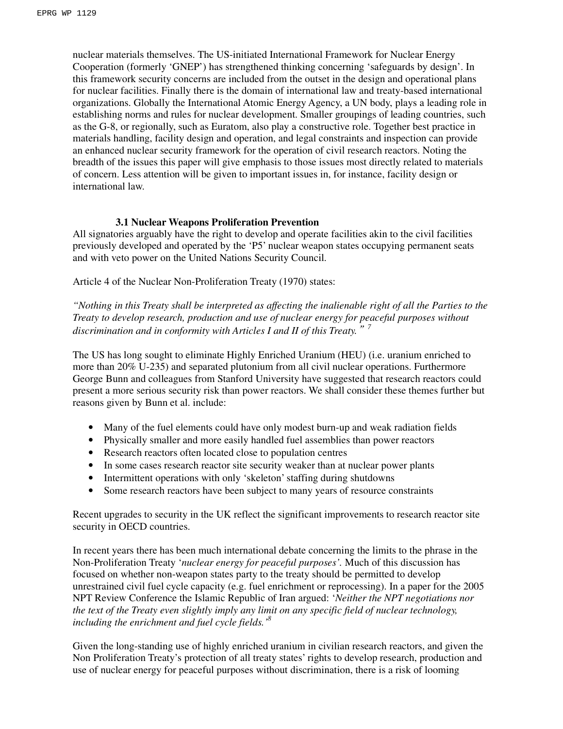nuclear materials themselves. The US-initiated International Framework for Nuclear Energy Cooperation (formerly 'GNEP') has strengthened thinking concerning 'safeguards by design'. In this framework security concerns are included from the outset in the design and operational plans for nuclear facilities. Finally there is the domain of international law and treaty-based international organizations. Globally the International Atomic Energy Agency, a UN body, plays a leading role in establishing norms and rules for nuclear development. Smaller groupings of leading countries, such as the G-8, or regionally, such as Euratom, also play a constructive role. Together best practice in materials handling, facility design and operation, and legal constraints and inspection can provide an enhanced nuclear security framework for the operation of civil research reactors. Noting the breadth of the issues this paper will give emphasis to those issues most directly related to materials of concern. Less attention will be given to important issues in, for instance, facility design or international law.

# **3.1 Nuclear Weapons Proliferation Prevention**

All signatories arguably have the right to develop and operate facilities akin to the civil facilities previously developed and operated by the 'P5' nuclear weapon states occupying permanent seats and with veto power on the United Nations Security Council.

Article 4 of the Nuclear Non-Proliferation Treaty (1970) states:

*"Nothing in this Treaty shall be interpreted as affecting the inalienable right of all the Parties to the Treaty to develop research, production and use of nuclear energy for peaceful purposes without discrimination and in conformity with Articles I and II of this Treaty.*"*<sup>7</sup>*

The US has long sought to eliminate Highly Enriched Uranium (HEU) (i.e. uranium enriched to more than 20% U-235) and separated plutonium from all civil nuclear operations. Furthermore George Bunn and colleagues from Stanford University have suggested that research reactors could present a more serious security risk than power reactors. We shall consider these themes further but reasons given by Bunn et al. include:

- Many of the fuel elements could have only modest burn-up and weak radiation fields
- Physically smaller and more easily handled fuel assemblies than power reactors
- Research reactors often located close to population centres
- In some cases research reactor site security weaker than at nuclear power plants
- Intermittent operations with only 'skeleton' staffing during shutdowns
- Some research reactors have been subject to many years of resource constraints

Recent upgrades to security in the UK reflect the significant improvements to research reactor site security in OECD countries.

In recent years there has been much international debate concerning the limits to the phrase in the Non-Proliferation Treaty '*nuclear energy for peaceful purposes'.* Much of this discussion has focused on whether non-weapon states party to the treaty should be permitted to develop unrestrained civil fuel cycle capacity (e.g. fuel enrichment or reprocessing). In a paper for the 2005 NPT Review Conference the Islamic Republic of Iran argued: '*Neither the NPT negotiations nor the text of the Treaty even slightly imply any limit on any specific field of nuclear technology, including the enrichment and fuel cycle fields.'<sup>8</sup>* 

Given the long-standing use of highly enriched uranium in civilian research reactors, and given the Non Proliferation Treaty's protection of all treaty states' rights to develop research, production and use of nuclear energy for peaceful purposes without discrimination, there is a risk of looming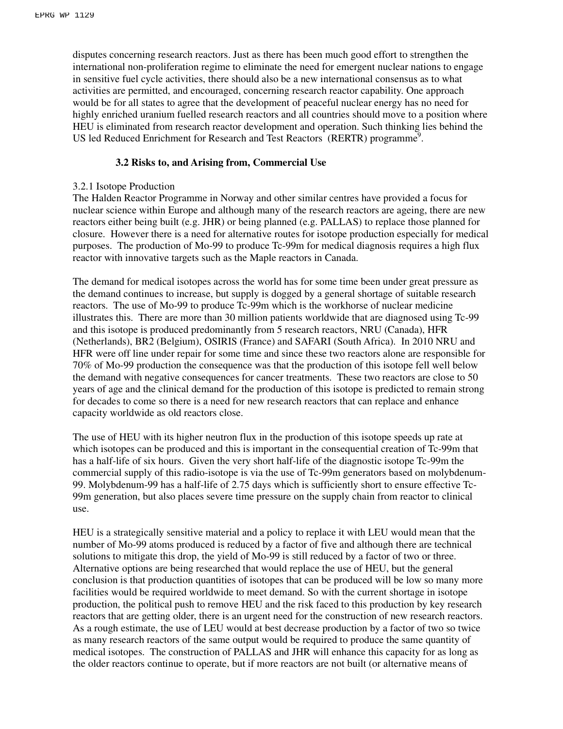disputes concerning research reactors. Just as there has been much good effort to strengthen the international non-proliferation regime to eliminate the need for emergent nuclear nations to engage in sensitive fuel cycle activities, there should also be a new international consensus as to what activities are permitted, and encouraged, concerning research reactor capability. One approach would be for all states to agree that the development of peaceful nuclear energy has no need for highly enriched uranium fuelled research reactors and all countries should move to a position where HEU is eliminated from research reactor development and operation. Such thinking lies behind the US led Reduced Enrichment for Research and Test Reactors (RERTR) programme<sup>9</sup>.

#### **3.2 Risks to, and Arising from, Commercial Use**

#### 3.2.1 Isotope Production

The Halden Reactor Programme in Norway and other similar centres have provided a focus for nuclear science within Europe and although many of the research reactors are ageing, there are new reactors either being built (e.g. JHR) or being planned (e.g. PALLAS) to replace those planned for closure. However there is a need for alternative routes for isotope production especially for medical purposes. The production of Mo-99 to produce Tc-99m for medical diagnosis requires a high flux reactor with innovative targets such as the Maple reactors in Canada.

The demand for medical isotopes across the world has for some time been under great pressure as the demand continues to increase, but supply is dogged by a general shortage of suitable research reactors. The use of Mo-99 to produce Tc-99m which is the workhorse of nuclear medicine illustrates this. There are more than 30 million patients worldwide that are diagnosed using Tc-99 and this isotope is produced predominantly from 5 research reactors, NRU (Canada), HFR (Netherlands), BR2 (Belgium), OSIRIS (France) and SAFARI (South Africa). In 2010 NRU and HFR were off line under repair for some time and since these two reactors alone are responsible for 70% of Mo-99 production the consequence was that the production of this isotope fell well below the demand with negative consequences for cancer treatments. These two reactors are close to 50 years of age and the clinical demand for the production of this isotope is predicted to remain strong for decades to come so there is a need for new research reactors that can replace and enhance capacity worldwide as old reactors close.

The use of HEU with its higher neutron flux in the production of this isotope speeds up rate at which isotopes can be produced and this is important in the consequential creation of Tc-99m that has a half-life of six hours. Given the very short half-life of the diagnostic isotope Tc-99m the commercial supply of this radio-isotope is via the use of Tc-99m generators based on molybdenum-99. Molybdenum-99 has a half-life of 2.75 days which is sufficiently short to ensure effective Tc-99m generation, but also places severe time pressure on the supply chain from reactor to clinical use.

HEU is a strategically sensitive material and a policy to replace it with LEU would mean that the number of Mo-99 atoms produced is reduced by a factor of five and although there are technical solutions to mitigate this drop, the yield of Mo-99 is still reduced by a factor of two or three. Alternative options are being researched that would replace the use of HEU, but the general conclusion is that production quantities of isotopes that can be produced will be low so many more facilities would be required worldwide to meet demand. So with the current shortage in isotope production, the political push to remove HEU and the risk faced to this production by key research reactors that are getting older, there is an urgent need for the construction of new research reactors. As a rough estimate, the use of LEU would at best decrease production by a factor of two so twice as many research reactors of the same output would be required to produce the same quantity of medical isotopes. The construction of PALLAS and JHR will enhance this capacity for as long as the older reactors continue to operate, but if more reactors are not built (or alternative means of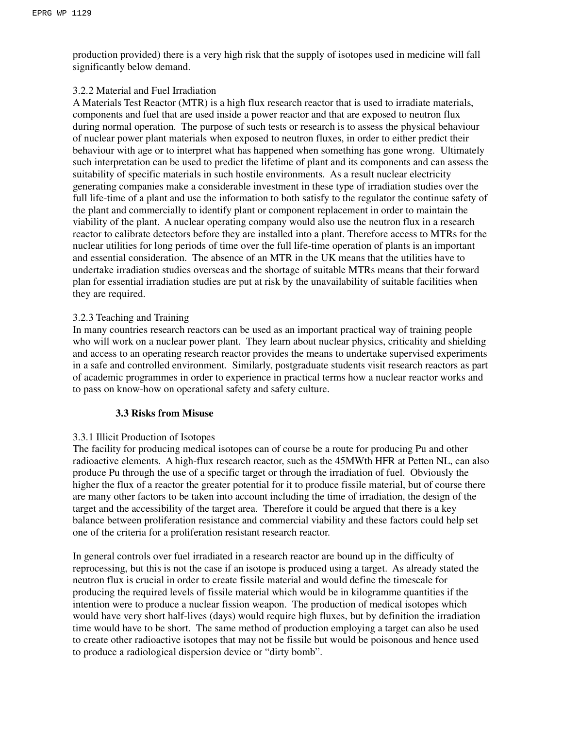production provided) there is a very high risk that the supply of isotopes used in medicine will fall significantly below demand.

#### 3.2.2 Material and Fuel Irradiation

A Materials Test Reactor (MTR) is a high flux research reactor that is used to irradiate materials, components and fuel that are used inside a power reactor and that are exposed to neutron flux during normal operation. The purpose of such tests or research is to assess the physical behaviour of nuclear power plant materials when exposed to neutron fluxes, in order to either predict their behaviour with age or to interpret what has happened when something has gone wrong. Ultimately such interpretation can be used to predict the lifetime of plant and its components and can assess the suitability of specific materials in such hostile environments. As a result nuclear electricity generating companies make a considerable investment in these type of irradiation studies over the full life-time of a plant and use the information to both satisfy to the regulator the continue safety of the plant and commercially to identify plant or component replacement in order to maintain the viability of the plant. A nuclear operating company would also use the neutron flux in a research reactor to calibrate detectors before they are installed into a plant. Therefore access to MTRs for the nuclear utilities for long periods of time over the full life-time operation of plants is an important and essential consideration. The absence of an MTR in the UK means that the utilities have to undertake irradiation studies overseas and the shortage of suitable MTRs means that their forward plan for essential irradiation studies are put at risk by the unavailability of suitable facilities when they are required.

# 3.2.3 Teaching and Training

In many countries research reactors can be used as an important practical way of training people who will work on a nuclear power plant. They learn about nuclear physics, criticality and shielding and access to an operating research reactor provides the means to undertake supervised experiments in a safe and controlled environment. Similarly, postgraduate students visit research reactors as part of academic programmes in order to experience in practical terms how a nuclear reactor works and to pass on know-how on operational safety and safety culture.

#### **3.3 Risks from Misuse**

#### 3.3.1 Illicit Production of Isotopes

The facility for producing medical isotopes can of course be a route for producing Pu and other radioactive elements. A high-flux research reactor, such as the 45MWth HFR at Petten NL, can also produce Pu through the use of a specific target or through the irradiation of fuel. Obviously the higher the flux of a reactor the greater potential for it to produce fissile material, but of course there are many other factors to be taken into account including the time of irradiation, the design of the target and the accessibility of the target area. Therefore it could be argued that there is a key balance between proliferation resistance and commercial viability and these factors could help set one of the criteria for a proliferation resistant research reactor.

In general controls over fuel irradiated in a research reactor are bound up in the difficulty of reprocessing, but this is not the case if an isotope is produced using a target. As already stated the neutron flux is crucial in order to create fissile material and would define the timescale for producing the required levels of fissile material which would be in kilogramme quantities if the intention were to produce a nuclear fission weapon. The production of medical isotopes which would have very short half-lives (days) would require high fluxes, but by definition the irradiation time would have to be short. The same method of production employing a target can also be used to create other radioactive isotopes that may not be fissile but would be poisonous and hence used to produce a radiological dispersion device or "dirty bomb".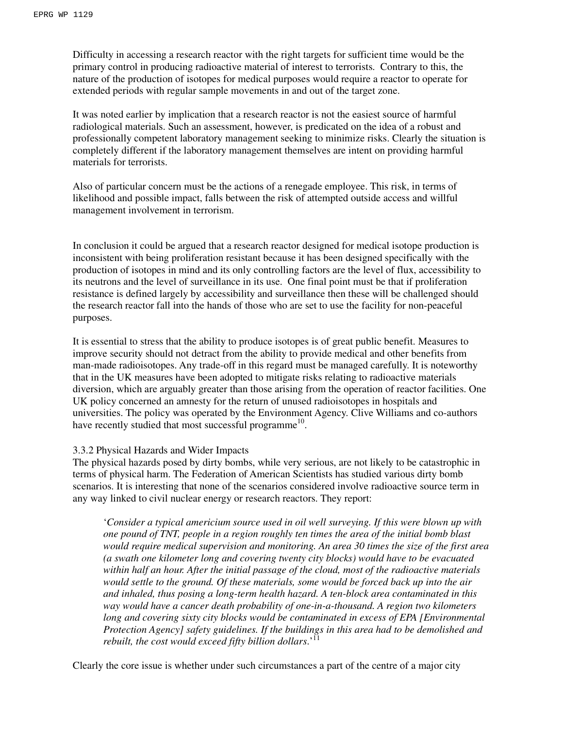Difficulty in accessing a research reactor with the right targets for sufficient time would be the primary control in producing radioactive material of interest to terrorists. Contrary to this, the nature of the production of isotopes for medical purposes would require a reactor to operate for extended periods with regular sample movements in and out of the target zone.

It was noted earlier by implication that a research reactor is not the easiest source of harmful radiological materials. Such an assessment, however, is predicated on the idea of a robust and professionally competent laboratory management seeking to minimize risks. Clearly the situation is completely different if the laboratory management themselves are intent on providing harmful materials for terrorists.

Also of particular concern must be the actions of a renegade employee. This risk, in terms of likelihood and possible impact, falls between the risk of attempted outside access and willful management involvement in terrorism.

In conclusion it could be argued that a research reactor designed for medical isotope production is inconsistent with being proliferation resistant because it has been designed specifically with the production of isotopes in mind and its only controlling factors are the level of flux, accessibility to its neutrons and the level of surveillance in its use. One final point must be that if proliferation resistance is defined largely by accessibility and surveillance then these will be challenged should the research reactor fall into the hands of those who are set to use the facility for non-peaceful purposes.

It is essential to stress that the ability to produce isotopes is of great public benefit. Measures to improve security should not detract from the ability to provide medical and other benefits from man-made radioisotopes. Any trade-off in this regard must be managed carefully. It is noteworthy that in the UK measures have been adopted to mitigate risks relating to radioactive materials diversion, which are arguably greater than those arising from the operation of reactor facilities. One UK policy concerned an amnesty for the return of unused radioisotopes in hospitals and universities. The policy was operated by the Environment Agency. Clive Williams and co-authors have recently studied that most successful programme<sup>10</sup>.

#### 3.3.2 Physical Hazards and Wider Impacts

The physical hazards posed by dirty bombs, while very serious, are not likely to be catastrophic in terms of physical harm. The Federation of American Scientists has studied various dirty bomb scenarios. It is interesting that none of the scenarios considered involve radioactive source term in any way linked to civil nuclear energy or research reactors. They report:

'*Consider a typical americium source used in oil well surveying. If this were blown up with one pound of TNT, people in a region roughly ten times the area of the initial bomb blast would require medical supervision and monitoring. An area 30 times the size of the first area (a swath one kilometer long and covering twenty city blocks) would have to be evacuated within half an hour. After the initial passage of the cloud, most of the radioactive materials would settle to the ground. Of these materials, some would be forced back up into the air and inhaled, thus posing a long-term health hazard. A ten-block area contaminated in this way would have a cancer death probability of one-in-a-thousand. A region two kilometers long and covering sixty city blocks would be contaminated in excess of EPA [Environmental Protection Agency] safety guidelines. If the buildings in this area had to be demolished and rebuilt, the cost would exceed fifty billion dollars*.'<sup>11</sup>

Clearly the core issue is whether under such circumstances a part of the centre of a major city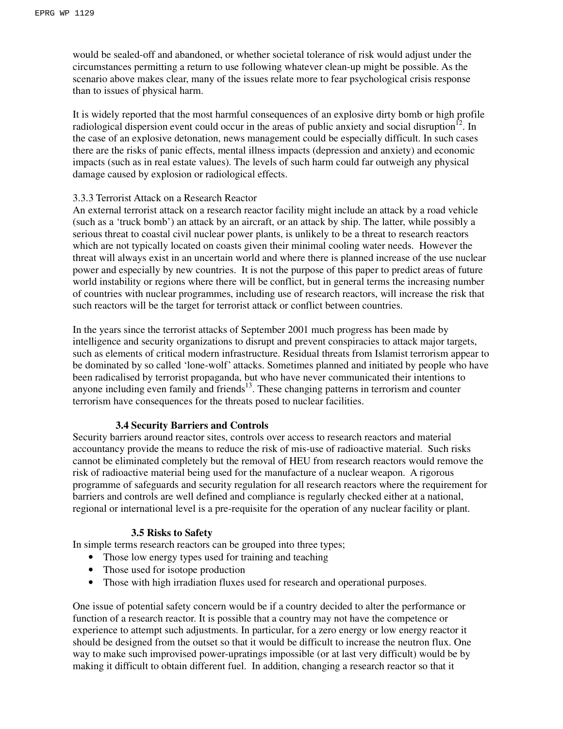would be sealed-off and abandoned, or whether societal tolerance of risk would adjust under the circumstances permitting a return to use following whatever clean-up might be possible. As the scenario above makes clear, many of the issues relate more to fear psychological crisis response than to issues of physical harm.

It is widely reported that the most harmful consequences of an explosive dirty bomb or high profile radiological dispersion event could occur in the areas of public anxiety and social disruption $^{12}$ . In the case of an explosive detonation, news management could be especially difficult. In such cases there are the risks of panic effects, mental illness impacts (depression and anxiety) and economic impacts (such as in real estate values). The levels of such harm could far outweigh any physical damage caused by explosion or radiological effects.

#### 3.3.3 Terrorist Attack on a Research Reactor

An external terrorist attack on a research reactor facility might include an attack by a road vehicle (such as a 'truck bomb') an attack by an aircraft, or an attack by ship. The latter, while possibly a serious threat to coastal civil nuclear power plants, is unlikely to be a threat to research reactors which are not typically located on coasts given their minimal cooling water needs. However the threat will always exist in an uncertain world and where there is planned increase of the use nuclear power and especially by new countries. It is not the purpose of this paper to predict areas of future world instability or regions where there will be conflict, but in general terms the increasing number of countries with nuclear programmes, including use of research reactors, will increase the risk that such reactors will be the target for terrorist attack or conflict between countries.

In the years since the terrorist attacks of September 2001 much progress has been made by intelligence and security organizations to disrupt and prevent conspiracies to attack major targets, such as elements of critical modern infrastructure. Residual threats from Islamist terrorism appear to be dominated by so called 'lone-wolf' attacks. Sometimes planned and initiated by people who have been radicalised by terrorist propaganda, but who have never communicated their intentions to anyone including even family and friends<sup>13</sup>. These changing patterns in terrorism and counter terrorism have consequences for the threats posed to nuclear facilities.

#### **3.4 Security Barriers and Controls**

Security barriers around reactor sites, controls over access to research reactors and material accountancy provide the means to reduce the risk of mis-use of radioactive material. Such risks cannot be eliminated completely but the removal of HEU from research reactors would remove the risk of radioactive material being used for the manufacture of a nuclear weapon. A rigorous programme of safeguards and security regulation for all research reactors where the requirement for barriers and controls are well defined and compliance is regularly checked either at a national, regional or international level is a pre-requisite for the operation of any nuclear facility or plant.

#### **3.5 Risks to Safety**

In simple terms research reactors can be grouped into three types;

- Those low energy types used for training and teaching
- Those used for isotope production
- Those with high irradiation fluxes used for research and operational purposes.

One issue of potential safety concern would be if a country decided to alter the performance or function of a research reactor. It is possible that a country may not have the competence or experience to attempt such adjustments. In particular, for a zero energy or low energy reactor it should be designed from the outset so that it would be difficult to increase the neutron flux. One way to make such improvised power-upratings impossible (or at last very difficult) would be by making it difficult to obtain different fuel. In addition, changing a research reactor so that it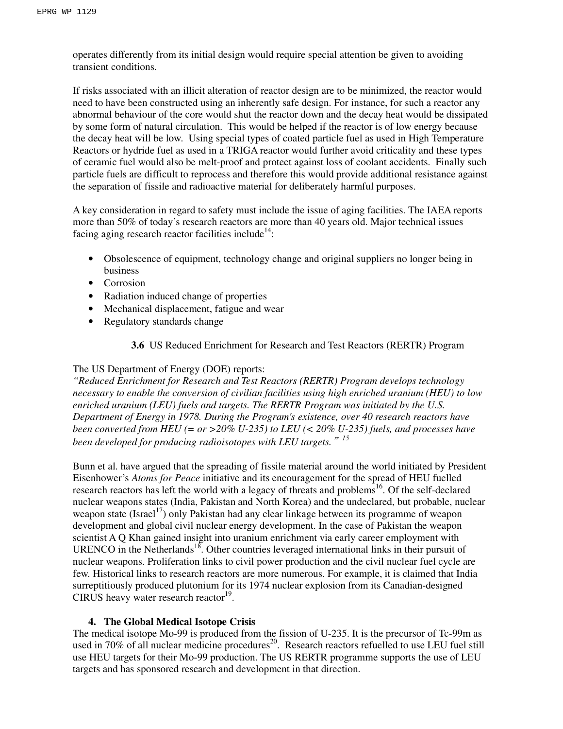operates differently from its initial design would require special attention be given to avoiding transient conditions.

If risks associated with an illicit alteration of reactor design are to be minimized, the reactor would need to have been constructed using an inherently safe design. For instance, for such a reactor any abnormal behaviour of the core would shut the reactor down and the decay heat would be dissipated by some form of natural circulation. This would be helped if the reactor is of low energy because the decay heat will be low. Using special types of coated particle fuel as used in High Temperature Reactors or hydride fuel as used in a TRIGA reactor would further avoid criticality and these types of ceramic fuel would also be melt-proof and protect against loss of coolant accidents. Finally such particle fuels are difficult to reprocess and therefore this would provide additional resistance against the separation of fissile and radioactive material for deliberately harmful purposes.

A key consideration in regard to safety must include the issue of aging facilities. The IAEA reports more than 50% of today's research reactors are more than 40 years old. Major technical issues facing aging research reactor facilities include<sup>14</sup>:

- Obsolescence of equipment, technology change and original suppliers no longer being in business
- Corrosion
- Radiation induced change of properties
- Mechanical displacement, fatigue and wear
- Regulatory standards change

**3.6** US Reduced Enrichment for Research and Test Reactors (RERTR) Program

# The US Department of Energy (DOE) reports:

*"Reduced Enrichment for Research and Test Reactors (RERTR) Program develops technology necessary to enable the conversion of civilian facilities using high enriched uranium (HEU) to low enriched uranium (LEU) fuels and targets. The RERTR Program was initiated by the U.S. Department of Energy in 1978. During the Program's existence, over 40 research reactors have been converted from HEU (= or >20% U-235) to LEU (< 20% U-235) fuels, and processes have been developed for producing radioisotopes with LEU targets.*"*<sup>15</sup>*

Bunn et al. have argued that the spreading of fissile material around the world initiated by President Eisenhower's *Atoms for Peace* initiative and its encouragement for the spread of HEU fuelled research reactors has left the world with a legacy of threats and problems<sup>16</sup>. Of the self-declared nuclear weapons states (India, Pakistan and North Korea) and the undeclared, but probable, nuclear weapon state (Israel<sup>17</sup>) only Pakistan had any clear linkage between its programme of weapon development and global civil nuclear energy development. In the case of Pakistan the weapon scientist A Q Khan gained insight into uranium enrichment via early career employment with URENCO in the Netherlands<sup>18</sup>. Other countries leveraged international links in their pursuit of nuclear weapons. Proliferation links to civil power production and the civil nuclear fuel cycle are few. Historical links to research reactors are more numerous. For example, it is claimed that India surreptitiously produced plutonium for its 1974 nuclear explosion from its Canadian-designed CIRUS heavy water research reactor $19$ .

# **4. The Global Medical Isotope Crisis**

The medical isotope Mo-99 is produced from the fission of U-235. It is the precursor of Tc-99m as used in 70% of all nuclear medicine procedures<sup>20</sup>. Research reactors refuelled to use LEU fuel still use HEU targets for their Mo-99 production. The US RERTR programme supports the use of LEU targets and has sponsored research and development in that direction.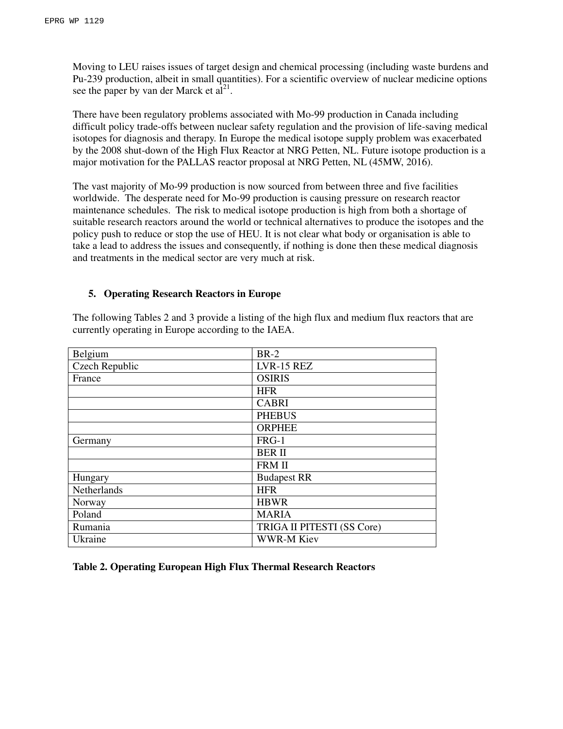Moving to LEU raises issues of target design and chemical processing (including waste burdens and Pu-239 production, albeit in small quantities). For a scientific overview of nuclear medicine options see the paper by van der Marck et  $a\hat{l}^{21}$ .

There have been regulatory problems associated with Mo-99 production in Canada including difficult policy trade-offs between nuclear safety regulation and the provision of life-saving medical isotopes for diagnosis and therapy. In Europe the medical isotope supply problem was exacerbated by the 2008 shut-down of the High Flux Reactor at NRG Petten, NL. Future isotope production is a major motivation for the PALLAS reactor proposal at NRG Petten, NL (45MW, 2016).

The vast majority of Mo-99 production is now sourced from between three and five facilities worldwide. The desperate need for Mo-99 production is causing pressure on research reactor maintenance schedules. The risk to medical isotope production is high from both a shortage of suitable research reactors around the world or technical alternatives to produce the isotopes and the policy push to reduce or stop the use of HEU. It is not clear what body or organisation is able to take a lead to address the issues and consequently, if nothing is done then these medical diagnosis and treatments in the medical sector are very much at risk.

#### **5. Operating Research Reactors in Europe**

The following Tables 2 and 3 provide a listing of the high flux and medium flux reactors that are currently operating in Europe according to the IAEA.

| Belgium        | $BR-2$                     |
|----------------|----------------------------|
| Czech Republic | LVR-15 REZ                 |
| France         | <b>OSIRIS</b>              |
|                | <b>HFR</b>                 |
|                | <b>CABRI</b>               |
|                | <b>PHEBUS</b>              |
|                | <b>ORPHEE</b>              |
| Germany        | FRG-1                      |
|                | <b>BER II</b>              |
|                | <b>FRM II</b>              |
| Hungary        | <b>Budapest RR</b>         |
| Netherlands    | <b>HFR</b>                 |
| Norway         | <b>HBWR</b>                |
| Poland         | <b>MARIA</b>               |
| Rumania        | TRIGA II PITESTI (SS Core) |
| Ukraine        | <b>WWR-M Kiev</b>          |

**Table 2. Operating European High Flux Thermal Research Reactors**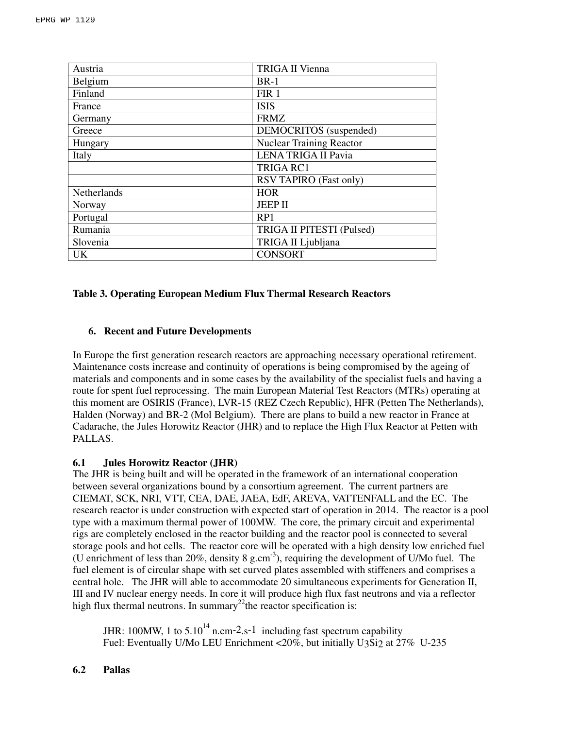| Austria     | <b>TRIGA II Vienna</b>          |  |
|-------------|---------------------------------|--|
| Belgium     | $BR-1$                          |  |
| Finland     | FIR <sub>1</sub>                |  |
| France      | <b>ISIS</b>                     |  |
| Germany     | <b>FRMZ</b>                     |  |
| Greece      | DEMOCRITOS (suspended)          |  |
| Hungary     | <b>Nuclear Training Reactor</b> |  |
| Italy       | <b>LENA TRIGA II Pavia</b>      |  |
|             | <b>TRIGA RC1</b>                |  |
|             | RSV TAPIRO (Fast only)          |  |
| Netherlands | <b>HOR</b>                      |  |
| Norway      | <b>JEEP II</b>                  |  |
| Portugal    | RP1                             |  |
| Rumania     | TRIGA II PITESTI (Pulsed)       |  |
| Slovenia    | TRIGA II Ljubljana              |  |
| <b>UK</b>   | <b>CONSORT</b>                  |  |

#### **Table 3. Operating European Medium Flux Thermal Research Reactors**

# **6. Recent and Future Developments**

In Europe the first generation research reactors are approaching necessary operational retirement. Maintenance costs increase and continuity of operations is being compromised by the ageing of materials and components and in some cases by the availability of the specialist fuels and having a route for spent fuel reprocessing. The main European Material Test Reactors (MTRs) operating at this moment are OSIRIS (France), LVR-15 (REZ Czech Republic), HFR (Petten The Netherlands), Halden (Norway) and BR-2 (Mol Belgium). There are plans to build a new reactor in France at Cadarache, the Jules Horowitz Reactor (JHR) and to replace the High Flux Reactor at Petten with PALLAS.

# **6.1 Jules Horowitz Reactor (JHR)**

The JHR is being built and will be operated in the framework of an international cooperation between several organizations bound by a consortium agreement. The current partners are CIEMAT, SCK, NRI, VTT, CEA, DAE, JAEA, EdF, AREVA, VATTENFALL and the EC. The research reactor is under construction with expected start of operation in 2014. The reactor is a pool type with a maximum thermal power of 100MW. The core, the primary circuit and experimental rigs are completely enclosed in the reactor building and the reactor pool is connected to several storage pools and hot cells. The reactor core will be operated with a high density low enriched fuel (U enrichment of less than 20%, density 8 g.cm<sup>-3</sup>), requiring the development of U/Mo fuel. The fuel element is of circular shape with set curved plates assembled with stiffeners and comprises a central hole. The JHR will able to accommodate 20 simultaneous experiments for Generation II, III and IV nuclear energy needs. In core it will produce high flux fast neutrons and via a reflector high flux thermal neutrons. In summary<sup>22</sup>the reactor specification is:

JHR: 100MW, 1 to  $5.10^{14}$  n.cm-2.s-1 including fast spectrum capability Fuel: Eventually U/Mo LEU Enrichment <20%, but initially U3Si2 at 27% U-235

#### **6.2 Pallas**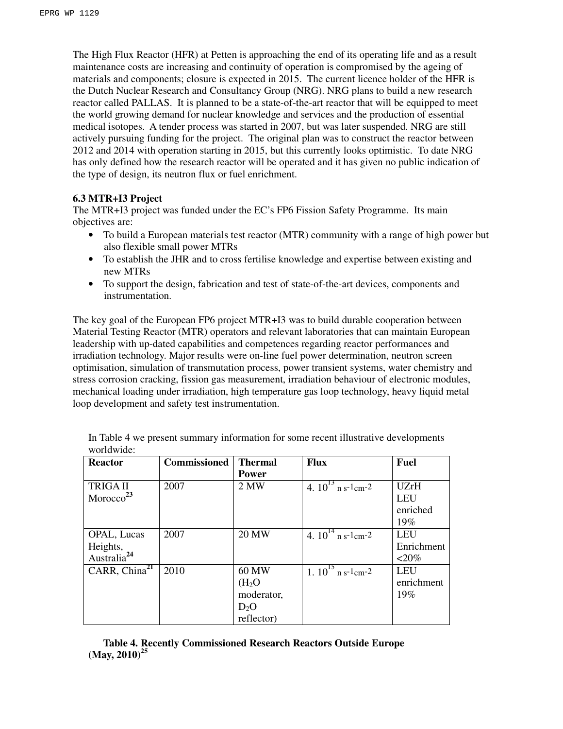The High Flux Reactor (HFR) at Petten is approaching the end of its operating life and as a result maintenance costs are increasing and continuity of operation is compromised by the ageing of materials and components; closure is expected in 2015. The current licence holder of the HFR is the Dutch Nuclear Research and Consultancy Group (NRG). NRG plans to build a new research reactor called PALLAS. It is planned to be a state-of-the-art reactor that will be equipped to meet the world growing demand for nuclear knowledge and services and the production of essential medical isotopes. A tender process was started in 2007, but was later suspended. NRG are still actively pursuing funding for the project. The original plan was to construct the reactor between 2012 and 2014 with operation starting in 2015, but this currently looks optimistic. To date NRG has only defined how the research reactor will be operated and it has given no public indication of the type of design, its neutron flux or fuel enrichment.

# **6.3 MTR+I3 Project**

The MTR+I3 project was funded under the EC's FP6 Fission Safety Programme. Its main objectives are:

- To build a European materials test reactor (MTR) community with a range of high power but also flexible small power MTRs
- To establish the JHR and to cross fertilise knowledge and expertise between existing and new MTRs
- To support the design, fabrication and test of state-of-the-art devices, components and instrumentation.

The key goal of the European FP6 project MTR+I3 was to build durable cooperation between Material Testing Reactor (MTR) operators and relevant laboratories that can maintain European leadership with up-dated capabilities and competences regarding reactor performances and irradiation technology. Major results were on-line fuel power determination, neutron screen optimisation, simulation of transmutation process, power transient systems, water chemistry and stress corrosion cracking, fission gas measurement, irradiation behaviour of electronic modules, mechanical loading under irradiation, high temperature gas loop technology, heavy liquid metal loop development and safety test instrumentation.

| <b>Reactor</b>                      | <b>Commissioned</b> | <b>Thermal</b>     | <b>Flux</b>                                     | <b>Fuel</b> |
|-------------------------------------|---------------------|--------------------|-------------------------------------------------|-------------|
|                                     |                     | <b>Power</b>       |                                                 |             |
| <b>TRIGAII</b>                      | 2007                | 2 MW               | $\frac{1}{4.10^{13}}$ n s-1cm-2                 | UZrH        |
| $M$ orocco <sup>23</sup>            |                     |                    |                                                 | <b>LEU</b>  |
|                                     |                     |                    |                                                 | enriched    |
|                                     |                     |                    |                                                 | 19%         |
| <b>OPAL, Lucas</b>                  | 2007                | <b>20 MW</b>       | 4. $10^{14}$ n s <sup>-1</sup> cm <sup>-2</sup> | <b>LEU</b>  |
| Heights,<br>Australia <sup>24</sup> |                     |                    |                                                 | Enrichment  |
|                                     |                     |                    |                                                 | $< 20\%$    |
| CARR, China <sup>21</sup>           | 2010                | 60 MW              | 1. $10^{15}$ n s <sup>-1</sup> cm <sup>-2</sup> | LEU         |
|                                     |                     | (H <sub>2</sub> O) |                                                 | enrichment  |
|                                     |                     | moderator,         |                                                 | 19%         |
|                                     |                     | $D_2O$             |                                                 |             |
|                                     |                     | reflector)         |                                                 |             |

In Table 4 we present summary information for some recent illustrative developments worldwide:

**Table 4. Recently Commissioned Research Reactors Outside Europe (May, 2010)<sup>25</sup>**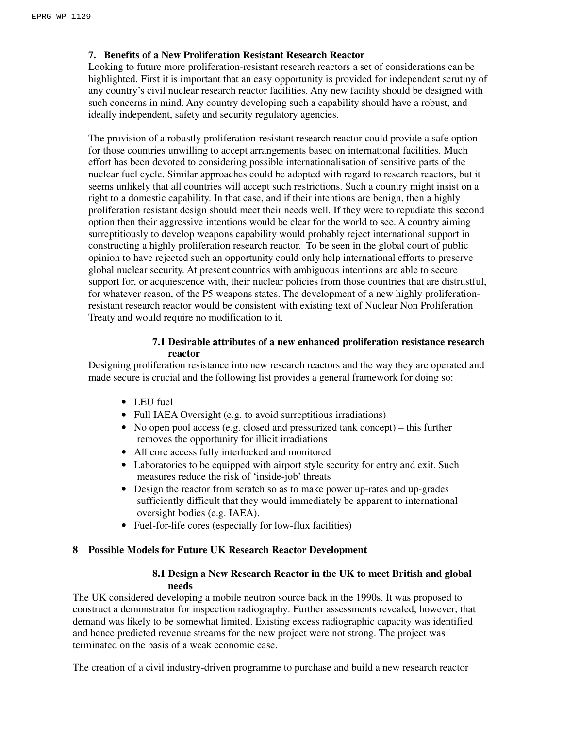# **7. Benefits of a New Proliferation Resistant Research Reactor**

Looking to future more proliferation-resistant research reactors a set of considerations can be highlighted. First it is important that an easy opportunity is provided for independent scrutiny of any country's civil nuclear research reactor facilities. Any new facility should be designed with such concerns in mind. Any country developing such a capability should have a robust, and ideally independent, safety and security regulatory agencies.

The provision of a robustly proliferation-resistant research reactor could provide a safe option for those countries unwilling to accept arrangements based on international facilities. Much effort has been devoted to considering possible internationalisation of sensitive parts of the nuclear fuel cycle. Similar approaches could be adopted with regard to research reactors, but it seems unlikely that all countries will accept such restrictions. Such a country might insist on a right to a domestic capability. In that case, and if their intentions are benign, then a highly proliferation resistant design should meet their needs well. If they were to repudiate this second option then their aggressive intentions would be clear for the world to see. A country aiming surreptitiously to develop weapons capability would probably reject international support in constructing a highly proliferation research reactor. To be seen in the global court of public opinion to have rejected such an opportunity could only help international efforts to preserve global nuclear security. At present countries with ambiguous intentions are able to secure support for, or acquiescence with, their nuclear policies from those countries that are distrustful, for whatever reason, of the P5 weapons states. The development of a new highly proliferationresistant research reactor would be consistent with existing text of Nuclear Non Proliferation Treaty and would require no modification to it.

# **7.1 Desirable attributes of a new enhanced proliferation resistance research reactor**

Designing proliferation resistance into new research reactors and the way they are operated and made secure is crucial and the following list provides a general framework for doing so:

- LEU fuel
- Full IAEA Oversight (e.g. to avoid surreptitious irradiations)
- No open pool access (e.g. closed and pressurized tank concept) this further removes the opportunity for illicit irradiations
- All core access fully interlocked and monitored
- Laboratories to be equipped with airport style security for entry and exit. Such measures reduce the risk of 'inside-job' threats
- Design the reactor from scratch so as to make power up-rates and up-grades sufficiently difficult that they would immediately be apparent to international oversight bodies (e.g. IAEA).
- Fuel-for-life cores (especially for low-flux facilities)

# **8 Possible Models for Future UK Research Reactor Development**

#### **8.1 Design a New Research Reactor in the UK to meet British and global needs**

The UK considered developing a mobile neutron source back in the 1990s. It was proposed to construct a demonstrator for inspection radiography. Further assessments revealed, however, that demand was likely to be somewhat limited. Existing excess radiographic capacity was identified and hence predicted revenue streams for the new project were not strong. The project was terminated on the basis of a weak economic case.

The creation of a civil industry-driven programme to purchase and build a new research reactor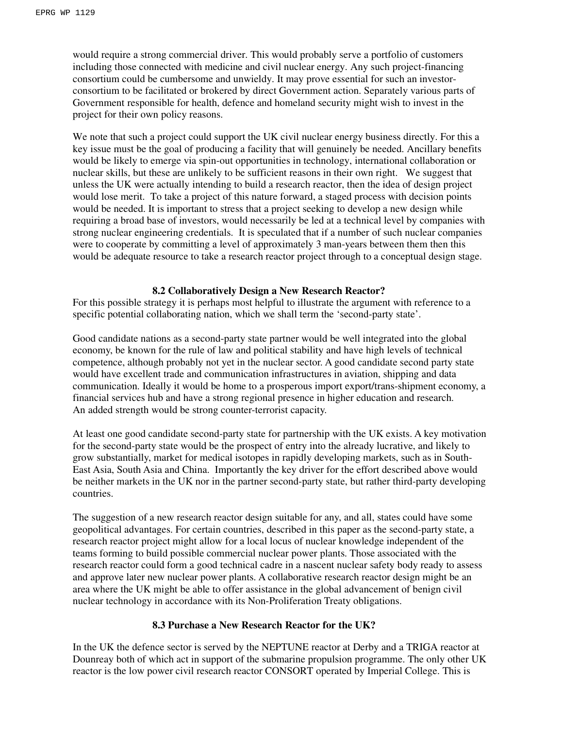would require a strong commercial driver. This would probably serve a portfolio of customers including those connected with medicine and civil nuclear energy. Any such project-financing consortium could be cumbersome and unwieldy. It may prove essential for such an investorconsortium to be facilitated or brokered by direct Government action. Separately various parts of Government responsible for health, defence and homeland security might wish to invest in the project for their own policy reasons.

We note that such a project could support the UK civil nuclear energy business directly. For this a key issue must be the goal of producing a facility that will genuinely be needed. Ancillary benefits would be likely to emerge via spin-out opportunities in technology, international collaboration or nuclear skills, but these are unlikely to be sufficient reasons in their own right. We suggest that unless the UK were actually intending to build a research reactor, then the idea of design project would lose merit. To take a project of this nature forward, a staged process with decision points would be needed. It is important to stress that a project seeking to develop a new design while requiring a broad base of investors, would necessarily be led at a technical level by companies with strong nuclear engineering credentials. It is speculated that if a number of such nuclear companies were to cooperate by committing a level of approximately 3 man-years between them then this would be adequate resource to take a research reactor project through to a conceptual design stage.

#### **8.2 Collaboratively Design a New Research Reactor?**

For this possible strategy it is perhaps most helpful to illustrate the argument with reference to a specific potential collaborating nation, which we shall term the 'second-party state'.

Good candidate nations as a second-party state partner would be well integrated into the global economy, be known for the rule of law and political stability and have high levels of technical competence, although probably not yet in the nuclear sector. A good candidate second party state would have excellent trade and communication infrastructures in aviation, shipping and data communication. Ideally it would be home to a prosperous import export/trans-shipment economy, a financial services hub and have a strong regional presence in higher education and research. An added strength would be strong counter-terrorist capacity.

At least one good candidate second-party state for partnership with the UK exists. A key motivation for the second-party state would be the prospect of entry into the already lucrative, and likely to grow substantially, market for medical isotopes in rapidly developing markets, such as in South-East Asia, South Asia and China. Importantly the key driver for the effort described above would be neither markets in the UK nor in the partner second-party state, but rather third-party developing countries.

The suggestion of a new research reactor design suitable for any, and all, states could have some geopolitical advantages. For certain countries, described in this paper as the second-party state, a research reactor project might allow for a local locus of nuclear knowledge independent of the teams forming to build possible commercial nuclear power plants. Those associated with the research reactor could form a good technical cadre in a nascent nuclear safety body ready to assess and approve later new nuclear power plants. A collaborative research reactor design might be an area where the UK might be able to offer assistance in the global advancement of benign civil nuclear technology in accordance with its Non-Proliferation Treaty obligations.

# **8.3 Purchase a New Research Reactor for the UK?**

In the UK the defence sector is served by the NEPTUNE reactor at Derby and a TRIGA reactor at Dounreay both of which act in support of the submarine propulsion programme. The only other UK reactor is the low power civil research reactor CONSORT operated by Imperial College. This is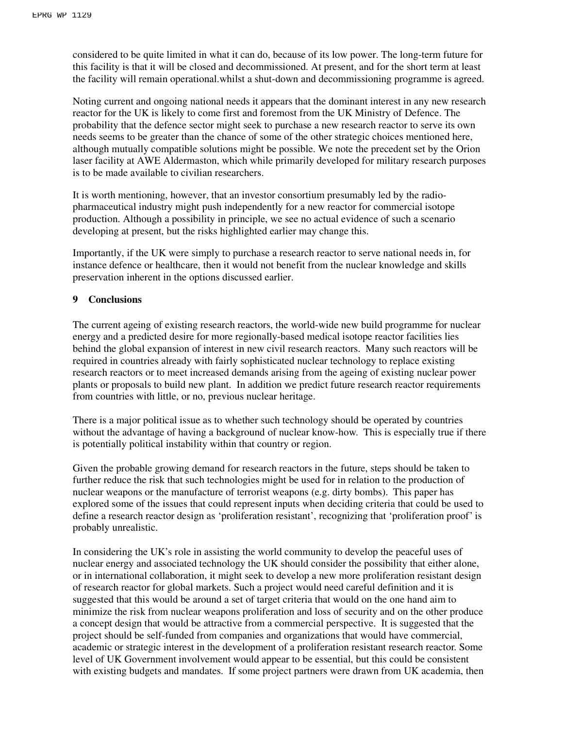considered to be quite limited in what it can do, because of its low power. The long-term future for this facility is that it will be closed and decommissioned. At present, and for the short term at least the facility will remain operational.whilst a shut-down and decommissioning programme is agreed.

Noting current and ongoing national needs it appears that the dominant interest in any new research reactor for the UK is likely to come first and foremost from the UK Ministry of Defence. The probability that the defence sector might seek to purchase a new research reactor to serve its own needs seems to be greater than the chance of some of the other strategic choices mentioned here, although mutually compatible solutions might be possible. We note the precedent set by the Orion laser facility at AWE Aldermaston, which while primarily developed for military research purposes is to be made available to civilian researchers.

It is worth mentioning, however, that an investor consortium presumably led by the radiopharmaceutical industry might push independently for a new reactor for commercial isotope production. Although a possibility in principle, we see no actual evidence of such a scenario developing at present, but the risks highlighted earlier may change this.

Importantly, if the UK were simply to purchase a research reactor to serve national needs in, for instance defence or healthcare, then it would not benefit from the nuclear knowledge and skills preservation inherent in the options discussed earlier.

#### **9 Conclusions**

The current ageing of existing research reactors, the world-wide new build programme for nuclear energy and a predicted desire for more regionally-based medical isotope reactor facilities lies behind the global expansion of interest in new civil research reactors. Many such reactors will be required in countries already with fairly sophisticated nuclear technology to replace existing research reactors or to meet increased demands arising from the ageing of existing nuclear power plants or proposals to build new plant. In addition we predict future research reactor requirements from countries with little, or no, previous nuclear heritage.

There is a major political issue as to whether such technology should be operated by countries without the advantage of having a background of nuclear know-how. This is especially true if there is potentially political instability within that country or region.

Given the probable growing demand for research reactors in the future, steps should be taken to further reduce the risk that such technologies might be used for in relation to the production of nuclear weapons or the manufacture of terrorist weapons (e.g. dirty bombs). This paper has explored some of the issues that could represent inputs when deciding criteria that could be used to define a research reactor design as 'proliferation resistant', recognizing that 'proliferation proof' is probably unrealistic.

In considering the UK's role in assisting the world community to develop the peaceful uses of nuclear energy and associated technology the UK should consider the possibility that either alone, or in international collaboration, it might seek to develop a new more proliferation resistant design of research reactor for global markets. Such a project would need careful definition and it is suggested that this would be around a set of target criteria that would on the one hand aim to minimize the risk from nuclear weapons proliferation and loss of security and on the other produce a concept design that would be attractive from a commercial perspective. It is suggested that the project should be self-funded from companies and organizations that would have commercial, academic or strategic interest in the development of a proliferation resistant research reactor. Some level of UK Government involvement would appear to be essential, but this could be consistent with existing budgets and mandates. If some project partners were drawn from UK academia, then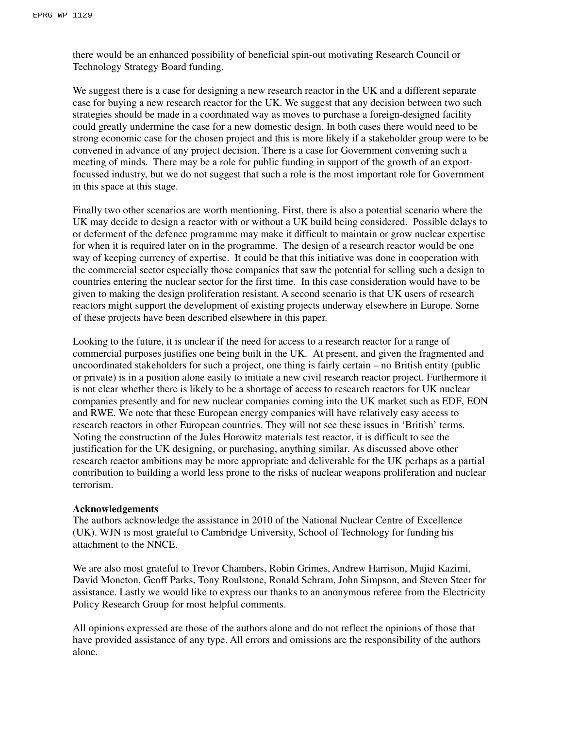there would be an enhanced possibility of beneficial spin-out motivating Research Council or Technology Strategy Board funding.

We suggest there is a case for designing a new research reactor in the UK and a different separate case for buying a new research reactor for the UK. We suggest that any decision between two such strategies should be made in a coordinated way as moves to purchase a foreign-designed facility could greatly undermine the case for a new domestic design. In both cases there would need to be strong economic case for the chosen project and this is more likely if a stakeholder group were to be convened in advance of any project decision. There is a case for Government convening such a meeting of minds. There may be a role for public funding in support of the growth of an exportfocussed industry, but we do not suggest that such a role is the most important role for Government in this space at this stage.

Finally two other scenarios are worth mentioning. First, there is also a potential scenario where the UK may decide to design a reactor with or without a UK build being considered. Possible delays to or deferment of the defence programme may make it difficult to maintain or grow nuclear expertise for when it is required later on in the programme. The design of a research reactor would be one way of keeping currency of expertise. It could be that this initiative was done in cooperation with the commercial sector especially those companies that saw the potential for selling such a design to countries entering the nuclear sector for the first time. In this case consideration would have to be given to making the design proliferation resistant. A second scenario is that UK users of research reactors might support the development of existing projects underway elsewhere in Europe. Some of these projects have been described elsewhere in this paper.

Looking to the future, it is unclear if the need for access to a research reactor for a range of commercial purposes justifies one being built in the UK. At present, and given the fragmented and uncoordinated stakeholders for such a project, one thing is fairly certain – no British entity (public or private) is in a position alone easily to initiate a new civil research reactor project. Furthermore it is not clear whether there is likely to be a shortage of access to research reactors for UK nuclear companies presently and for new nuclear companies coming into the UK market such as EDF, EON and RWE. We note that these European energy companies will have relatively easy access to research reactors in other European countries. They will not see these issues in 'British' terms. Noting the construction of the Jules Horowitz materials test reactor, it is difficult to see the justification for the UK designing, or purchasing, anything similar. As discussed above other research reactor ambitions may be more appropriate and deliverable for the UK perhaps as a partial contribution to building a world less prone to the risks of nuclear weapons proliferation and nuclear terrorism.

#### **Acknowledgements**

The authors acknowledge the assistance in 2010 of the National Nuclear Centre of Excellence (UK). WJN is most grateful to Cambridge University, School of Technology for funding his attachment to the NNCE.

We are also most grateful to Trevor Chambers, Robin Grimes, Andrew Harrison, Mujid Kazimi, David Moncton, Geoff Parks, Tony Roulstone, Ronald Schram, John Simpson, and Steven Steer for assistance. Lastly we would like to express our thanks to an anonymous referee from the Electricity Policy Research Group for most helpful comments.

All opinions expressed are those of the authors alone and do not reflect the opinions of those that have provided assistance of any type. All errors and omissions are the responsibility of the authors alone.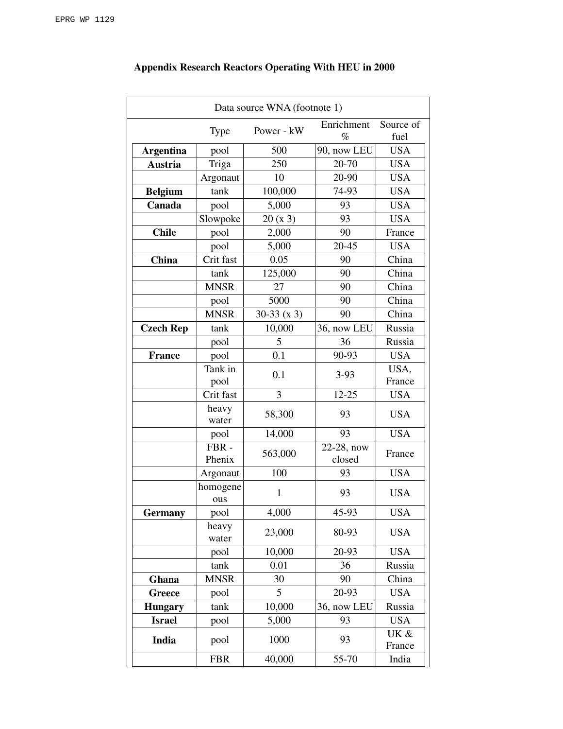| Data source WNA (footnote 1) |                 |              |                      |                   |
|------------------------------|-----------------|--------------|----------------------|-------------------|
|                              | <b>Type</b>     | Power - kW   | Enrichment<br>$\%$   | Source of<br>fuel |
| <b>Argentina</b>             | pool            | 500          | 90, now LEU          | <b>USA</b>        |
| <b>Austria</b>               | Triga           | 250          | 20-70                | <b>USA</b>        |
|                              | Argonaut        | 10           | 20-90                | <b>USA</b>        |
| <b>Belgium</b>               | tank            | 100,000      | 74-93                | <b>USA</b>        |
| Canada                       | pool            | 5,000        | 93                   | <b>USA</b>        |
|                              | Slowpoke        | 20(x3)       | 93                   | <b>USA</b>        |
| <b>Chile</b>                 | pool            | 2,000        | 90                   | France            |
|                              | pool            | 5,000        | 20-45                | <b>USA</b>        |
| China                        | Crit fast       | 0.05         | 90                   | China             |
|                              | tank            | 125,000      | 90                   | China             |
|                              | <b>MNSR</b>     | 27           | 90                   | China             |
|                              | pool            | 5000         | 90                   | China             |
|                              | <b>MNSR</b>     | $30-33(x3)$  | 90                   | China             |
| <b>Czech Rep</b>             | tank            | 10,000       | 36, now LEU          | Russia            |
|                              | pool            | 5            | 36                   | Russia            |
| <b>France</b>                | pool            | 0.1          | 90-93                | <b>USA</b>        |
|                              | Tank in         | 0.1          | $3-93$               | USA,              |
|                              | pool            |              |                      | France            |
|                              | Crit fast       | 3            | $12 - 25$            | <b>USA</b>        |
|                              | heavy<br>water  | 58,300       | 93                   | <b>USA</b>        |
|                              | pool            | 14,000       | 93                   | <b>USA</b>        |
|                              | FBR-<br>Phenix  | 563,000      | 22-28, now<br>closed | France            |
|                              | Argonaut        | 100          | 93                   | <b>USA</b>        |
|                              | homogene<br>ous | $\mathbf{1}$ | 93                   | <b>USA</b>        |
| <b>Germany</b>               | pool            | 4,000        | 45-93                | <b>USA</b>        |
|                              | heavy<br>water  | 23,000       | 80-93                | <b>USA</b>        |
|                              | pool            | 10,000       | 20-93                | <b>USA</b>        |
|                              | tank            | 0.01         | 36                   | Russia            |
| Ghana                        | <b>MNSR</b>     | 30           | 90                   | China             |
| Greece                       | pool            | 5            | 20-93                | <b>USA</b>        |
| <b>Hungary</b>               | tank            | 10,000       | 36, now LEU          | Russia            |
| <b>Israel</b>                | pool            | 5,000        | 93                   | <b>USA</b>        |
| India                        | pool            | 1000         | 93                   | UK &<br>France    |
|                              | <b>FBR</b>      | 40,000       | 55-70                | India             |

# **Appendix Research Reactors Operating With HEU in 2000**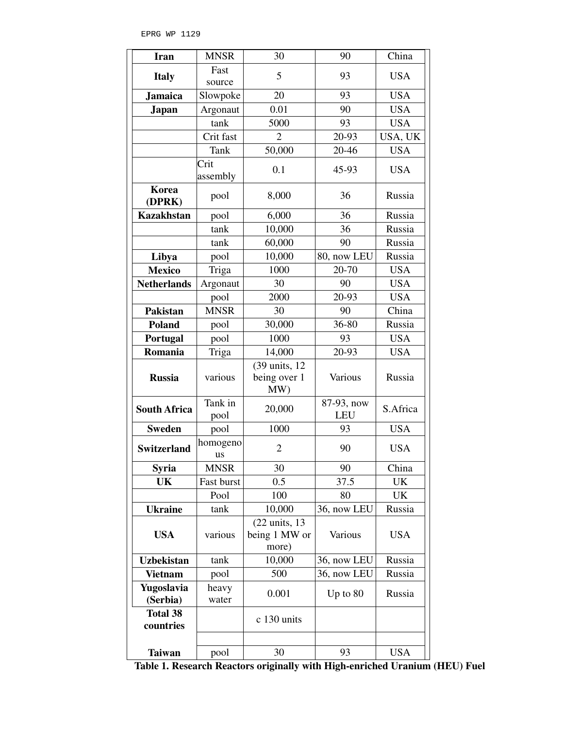| <b>Iran</b>                  | <b>MNSR</b>      | 30                                                 | 90                       | China      |
|------------------------------|------------------|----------------------------------------------------|--------------------------|------------|
| <b>Italy</b>                 | Fast             | 5                                                  | 93                       | <b>USA</b> |
|                              | source           |                                                    |                          |            |
| <b>Jamaica</b>               | Slowpoke         | 20                                                 | 93                       | <b>USA</b> |
| <b>Japan</b>                 | Argonaut         | 0.01                                               | 90                       | <b>USA</b> |
|                              | tank             | 5000                                               | 93                       | <b>USA</b> |
|                              | Crit fast        | $\overline{2}$                                     | 20-93                    | USA, UK    |
|                              | Tank             | 50,000                                             | $20 - 46$                | <b>USA</b> |
|                              | Crit<br>assembly | 0.1                                                | 45-93                    | <b>USA</b> |
| Korea<br>(DPRK)              | pool             | 8,000                                              | 36                       | Russia     |
| <b>Kazakhstan</b>            | pool             | 6,000                                              | 36                       | Russia     |
|                              | tank             | 10,000                                             | 36                       | Russia     |
|                              | tank             | 60,000                                             | 90                       | Russia     |
| Libya                        | pool             | 10,000                                             | 80, now LEU              | Russia     |
| <b>Mexico</b>                | Triga            | 1000                                               | 20-70                    | <b>USA</b> |
| <b>Netherlands</b>           | Argonaut         | 30                                                 | 90                       | <b>USA</b> |
|                              | pool             | 2000                                               | 20-93                    | <b>USA</b> |
| <b>Pakistan</b>              | <b>MNSR</b>      | 30                                                 | 90                       | China      |
| <b>Poland</b>                | pool             | 30,000                                             | 36-80                    | Russia     |
| Portugal                     | pool             | 1000                                               | 93                       | <b>USA</b> |
| Romania                      | Triga            | 14,000                                             | 20-93                    | <b>USA</b> |
| <b>Russia</b>                | various          | (39 units, 12)<br>being over 1<br>MW)              | Various                  | Russia     |
| <b>South Africa</b>          | Tank in<br>pool  | 20,000                                             | 87-93, now<br><b>LEU</b> | S.Africa   |
| <b>Sweden</b>                | pool             | 1000                                               | 93                       | <b>USA</b> |
| <b>Switzerland</b>           | homogeno<br>us   | $\overline{2}$                                     | 90                       | <b>USA</b> |
| Syria                        | <b>MNSR</b>      | 30                                                 | 90                       | China      |
| UK                           | Fast burst       | 0.5                                                | 37.5                     | UK         |
|                              | Pool             | 100                                                | 80                       | UK         |
| <b>Ukraine</b>               | tank             | 10,000                                             | 36, now LEU              | Russia     |
| <b>USA</b>                   | various          | $(22 \text{ units}, 13)$<br>being 1 MW or<br>more) | Various                  | <b>USA</b> |
| <b>Uzbekistan</b>            | tank             | 10,000                                             | 36, now LEU              | Russia     |
| <b>Vietnam</b>               | pool             | 500                                                | 36, now LEU              | Russia     |
| Yugoslavia<br>(Serbia)       | heavy<br>water   | 0.001                                              | Up to 80                 | Russia     |
| <b>Total 38</b><br>countries |                  | c 130 units                                        |                          |            |
| <b>Taiwan</b>                | pool             | 30                                                 | 93                       | <b>USA</b> |

**Table 1. Research Reactors originally with High-enriched Uranium (HEU) Fuel**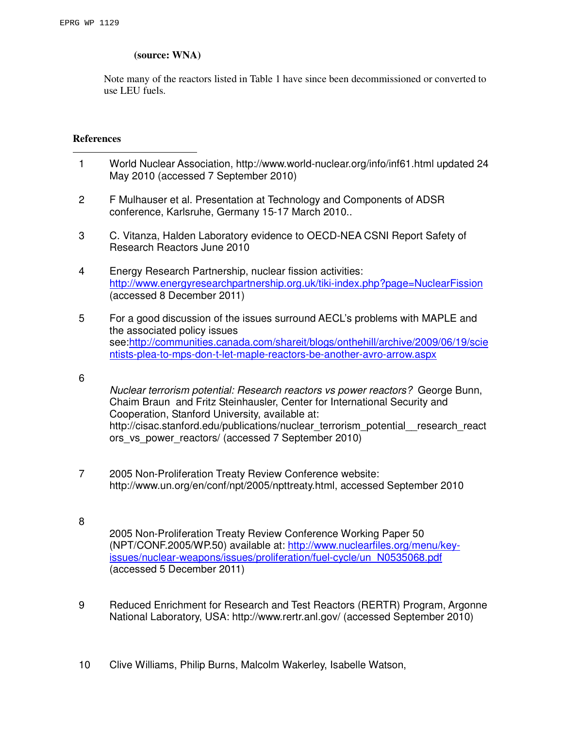# **(source: WNA)**

Note many of the reactors listed in Table 1 have since been decommissioned or converted to use LEU fuels.

# **References**

l

- 1 World Nuclear Association, http://www.world-nuclear.org/info/inf61.html updated 24 May 2010 (accessed 7 September 2010)
- 2 F Mulhauser et al. Presentation at Technology and Components of ADSR conference, Karlsruhe, Germany 15-17 March 2010..
- 3 C. Vitanza, Halden Laboratory evidence to OECD-NEA CSNI Report Safety of Research Reactors June 2010
- 4 Energy Research Partnership, nuclear fission activities: http://www.energyresearchpartnership.org.uk/tiki-index.php?page=NuclearFission (accessed 8 December 2011)
- 5 For a good discussion of the issues surround AECL's problems with MAPLE and the associated policy issues see:http://communities.canada.com/shareit/blogs/onthehill/archive/2009/06/19/scie ntists-plea-to-mps-don-t-let-maple-reactors-be-another-avro-arrow.aspx
- 6

8

Nuclear terrorism potential: Research reactors vs power reactors? George Bunn, Chaim Braun and Fritz Steinhausler, Center for International Security and Cooperation, Stanford University, available at: http://cisac.stanford.edu/publications/nuclear\_terrorism\_potential\_\_research\_react ors vs power reactors/ (accessed 7 September 2010)

- 7 2005 Non-Proliferation Treaty Review Conference website: http://www.un.org/en/conf/npt/2005/npttreaty.html, accessed September 2010
	- 2005 Non-Proliferation Treaty Review Conference Working Paper 50 (NPT/CONF.2005/WP.50) available at: http://www.nuclearfiles.org/menu/keyissues/nuclear-weapons/issues/proliferation/fuel-cycle/un\_N0535068.pdf (accessed 5 December 2011)
- 9 Reduced Enrichment for Research and Test Reactors (RERTR) Program, Argonne National Laboratory, USA: http://www.rertr.anl.gov/ (accessed September 2010)
- 10 Clive Williams, Philip Burns, Malcolm Wakerley, Isabelle Watson,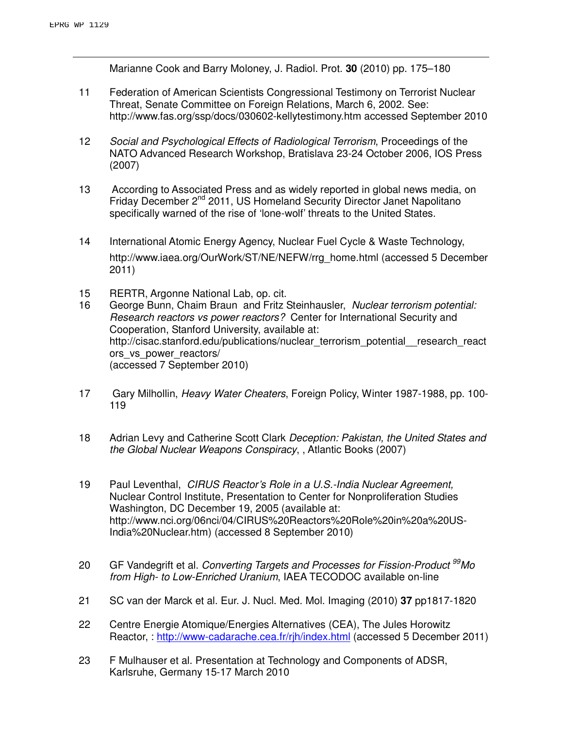l

Marianne Cook and Barry Moloney, J. Radiol. Prot. **30** (2010) pp. 175–180

- 11 Federation of American Scientists Congressional Testimony on Terrorist Nuclear Threat, Senate Committee on Foreign Relations, March 6, 2002. See: http://www.fas.org/ssp/docs/030602-kellytestimony.htm accessed September 2010
- 12 Social and Psychological Effects of Radiological Terrorism, Proceedings of the NATO Advanced Research Workshop, Bratislava 23-24 October 2006, IOS Press (2007)
- 13 According to Associated Press and as widely reported in global news media, on Friday December 2<sup>nd</sup> 2011, US Homeland Security Director Janet Napolitano specifically warned of the rise of 'lone-wolf' threats to the United States.
- 14 International Atomic Energy Agency, Nuclear Fuel Cycle & Waste Technology, http://www.iaea.org/OurWork/ST/NE/NEFW/rrg\_home.html (accessed 5 December 2011)
- 15 RERTR, Argonne National Lab, op. cit.
- 16 George Bunn, Chaim Braun and Fritz Steinhausler, Nuclear terrorism potential: Research reactors vs power reactors? Center for International Security and Cooperation, Stanford University, available at: http://cisac.stanford.edu/publications/nuclear\_terrorism\_potential\_\_research\_react ors vs power reactors/ (accessed 7 September 2010)
- 17 Gary Milhollin, Heavy Water Cheaters, Foreign Policy, Winter 1987-1988, pp. 100- 119
- 18 Adrian Levy and Catherine Scott Clark Deception: Pakistan, the United States and the Global Nuclear Weapons Conspiracy, , Atlantic Books (2007)
- 19 Paul Leventhal, CIRUS Reactor's Role in a U.S.-India Nuclear Agreement, Nuclear Control Institute, Presentation to Center for Nonproliferation Studies Washington, DC December 19, 2005 (available at: http://www.nci.org/06nci/04/CIRUS%20Reactors%20Role%20in%20a%20US-India%20Nuclear.htm) (accessed 8 September 2010)
- 20 GF Vandegrift et al. Converting Targets and Processes for Fission-Product <sup>99</sup>Mo from High- to Low-Enriched Uranium, IAEA TECODOC available on-line
- 21 SC van der Marck et al. Eur. J. Nucl. Med. Mol. Imaging (2010) **37** pp1817-1820
- 22 Centre Energie Atomique/Energies Alternatives (CEA), The Jules Horowitz Reactor, : http://www-cadarache.cea.fr/rjh/index.html (accessed 5 December 2011)
- 23 F Mulhauser et al. Presentation at Technology and Components of ADSR, Karlsruhe, Germany 15-17 March 2010